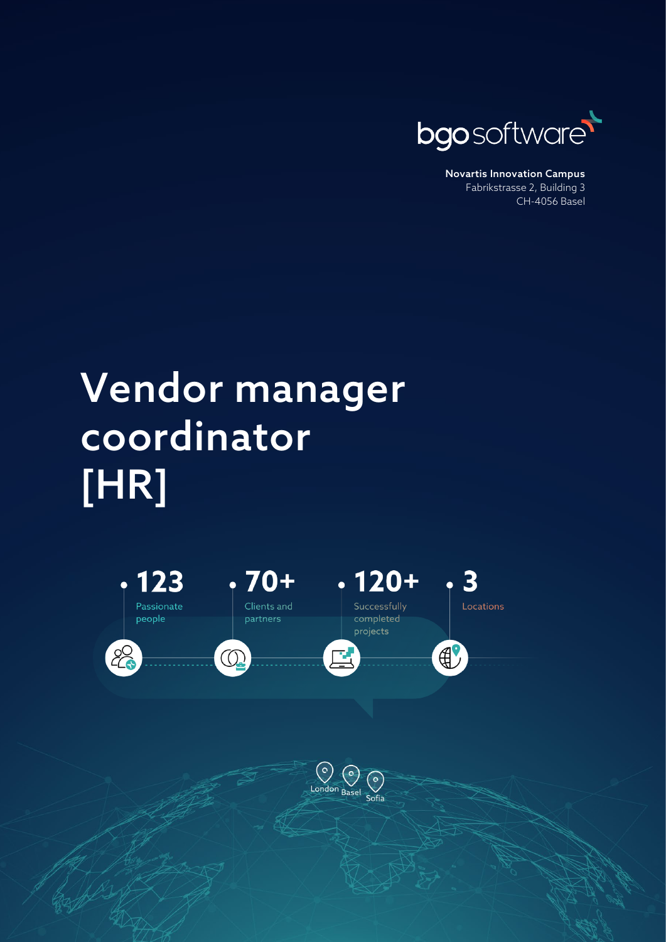

Novartis Innovation Campus Fabrikstrasse 2, Building 3 CH-4056 Basel

## Vendor manager coordinator [HR]

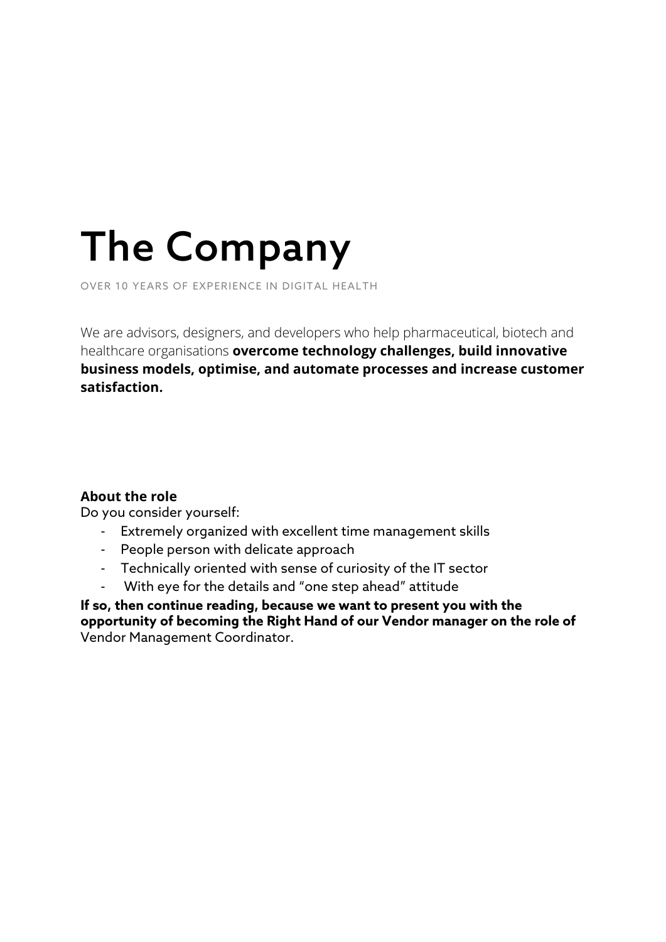# The Company

OVER 10 YEARS OF EXPERIENCE IN DIGITAL HEALTH

We are advisors, designers, and developers who help pharmaceutical, biotech and healthcare organisations **overcome technology challenges, build innovative business models, optimise, and automate processes and increase customer satisfaction.**

#### **About the role**

Do you consider yourself:

- Extremely organized with excellent time management skills
- People person with delicate approach
- Technically oriented with sense of curiosity of the IT sector
- With eye for the details and "one step ahead" attitude

**If so, then continue reading, because we want to present you with the opportunity of becoming the Right Hand of our Vendor manager on the role of**  Vendor Management Coordinator.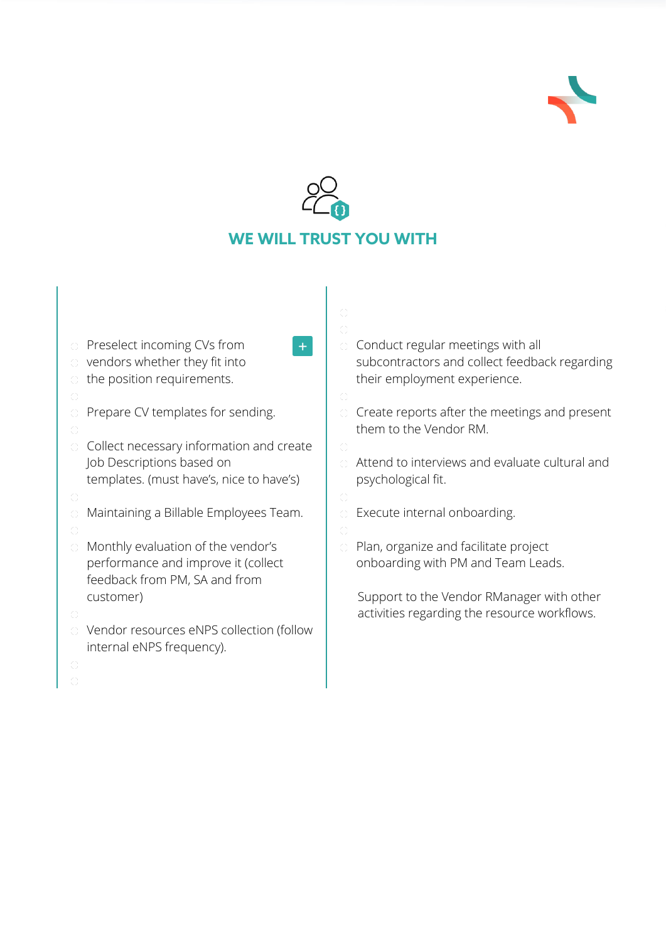



| <b>C</b> Preselect incoming CVs from      |  |
|-------------------------------------------|--|
| the vendors whether they fit into         |  |
| $\circ$ the position requirements.        |  |
| 0                                         |  |
| $\circ$ Prepare CV templates for sending. |  |
|                                           |  |

- $\circ$  Collect necessary information and create Job Descriptions based on templates. (must have's, nice to have's)
- 
- Maintaining a Billable Employees Team.
- 
- Monthly evaluation of the vendor's performance and improve it (collect feedback from PM, SA and from customer)
- 
- Vendor resources eNPS collection (follow internal eNPS frequency).
- 
- Conduct regular meetings with all subcontractors and collect feedback regarding their employment experience.
- Create reports after the meetings and present them to the Vendor RM.
- Attend to interviews and evaluate cultural and psychological fit.
- 
- Execute internal onboarding.
- Plan, organize and facilitate project onboarding with PM and Team Leads.

Support to the Vendor RManager with other activities regarding the resource workflows.

- 
- 
- 
-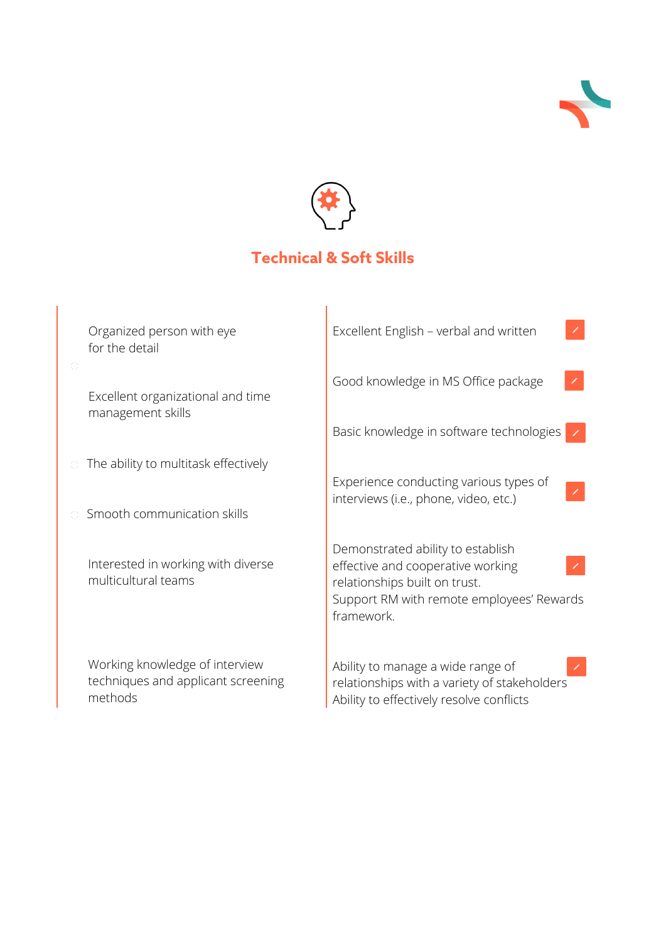



### **Technical & Soft Skills**

| Organized person with eye<br>for the detail                                     | Excellent English - verbal and written                                                                                                                             |  |
|---------------------------------------------------------------------------------|--------------------------------------------------------------------------------------------------------------------------------------------------------------------|--|
| Excellent organizational and time<br>management skills                          | Good knowledge in MS Office package                                                                                                                                |  |
|                                                                                 | Basic knowledge in software technologies                                                                                                                           |  |
| The ability to multitask effectively                                            | Experience conducting various types of                                                                                                                             |  |
| Smooth communication skills                                                     | interviews (i.e., phone, video, etc.)                                                                                                                              |  |
| Interested in working with diverse<br>multicultural teams                       | Demonstrated ability to establish<br>effective and cooperative working<br>relationships built on trust.<br>Support RM with remote employees' Rewards<br>framework. |  |
| Working knowledge of interview<br>techniques and applicant screening<br>methods | Ability to manage a wide range of<br>relationships with a variety of stakeholders<br>Ability to effectively resolve conflicts                                      |  |